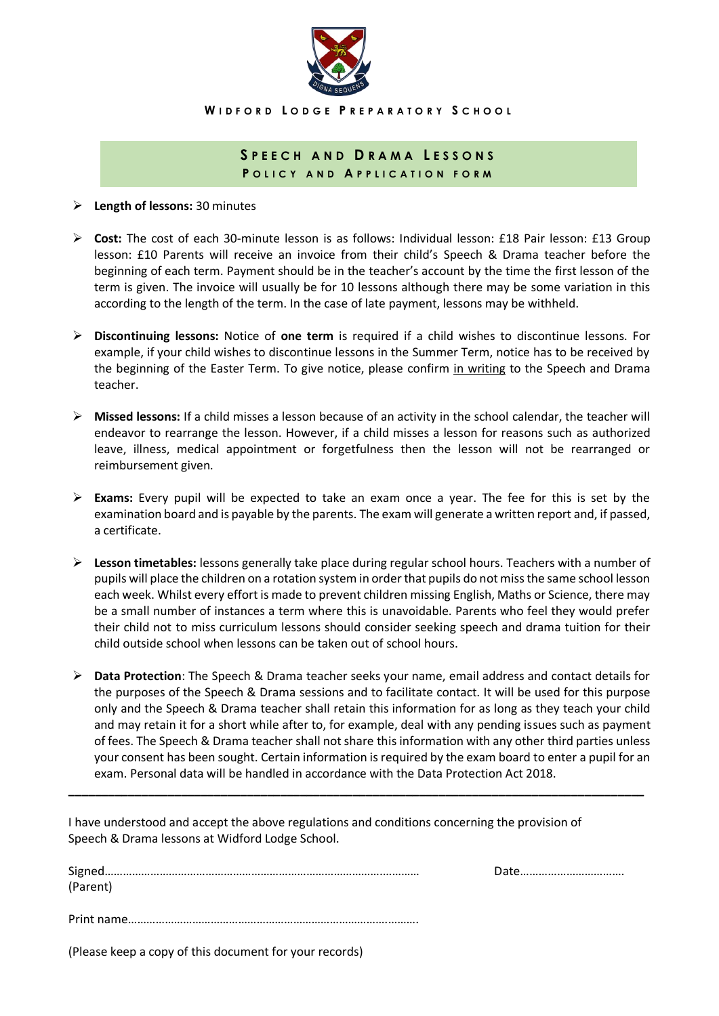

**W I D F O R D L O D G E P R E P A R A T O R Y S C H O O L**

## **S P E E C H A N D D R A M A L E S S O N S P O L I C Y A N D A P P L I C A T I O N F O R M**

**Length of lessons:** 30 minutes

- **Cost:** The cost of each 30-minute lesson is as follows: Individual lesson: £18 Pair lesson: £13 Group lesson: £10 Parents will receive an invoice from their child's Speech & Drama teacher before the beginning of each term. Payment should be in the teacher's account by the time the first lesson of the term is given. The invoice will usually be for 10 lessons although there may be some variation in this according to the length of the term. In the case of late payment, lessons may be withheld.
- **Discontinuing lessons:** Notice of **one term** is required if a child wishes to discontinue lessons. For example, if your child wishes to discontinue lessons in the Summer Term, notice has to be received by the beginning of the Easter Term. To give notice, please confirm in writing to the Speech and Drama teacher.
- **Missed lessons:** If a child misses a lesson because of an activity in the school calendar, the teacher will endeavor to rearrange the lesson. However, if a child misses a lesson for reasons such as authorized leave, illness, medical appointment or forgetfulness then the lesson will not be rearranged or reimbursement given.
- **Exams:** Every pupil will be expected to take an exam once a year. The fee for this is set by the examination board and is payable by the parents. The exam will generate a written report and, if passed, a certificate.
- **Lesson timetables:** lessons generally take place during regular school hours. Teachers with a number of pupils will place the children on a rotation system in order that pupils do not miss the same school lesson each week. Whilst every effort is made to prevent children missing English, Maths or Science, there may be a small number of instances a term where this is unavoidable. Parents who feel they would prefer their child not to miss curriculum lessons should consider seeking speech and drama tuition for their child outside school when lessons can be taken out of school hours.
- **Data Protection**: The Speech & Drama teacher seeks your name, email address and contact details for the purposes of the Speech & Drama sessions and to facilitate contact. It will be used for this purpose only and the Speech & Drama teacher shall retain this information for as long as they teach your child and may retain it for a short while after to, for example, deal with any pending issues such as payment of fees. The Speech & Drama teacher shall not share this information with any other third parties unless your consent has been sought. Certain information is required by the exam board to enter a pupil for an exam. Personal data will be handled in accordance with the Data Protection Act 2018.

**\_\_\_\_\_\_\_\_\_\_\_\_\_\_\_\_\_\_\_\_\_\_\_\_\_\_\_\_\_\_\_\_\_\_\_\_\_\_\_\_\_\_\_\_\_\_\_\_\_\_\_\_\_\_\_\_\_\_\_\_\_\_\_\_\_\_\_\_\_\_\_\_\_\_\_\_\_\_\_\_\_\_\_\_\_\_\_**

I have understood and accept the above regulations and conditions concerning the provision of Speech & Drama lessons at Widford Lodge School.

|          | Date |
|----------|------|
| (Parent) |      |
|          |      |
|          |      |
|          |      |
|          |      |

(Please keep a copy of this document for your records)